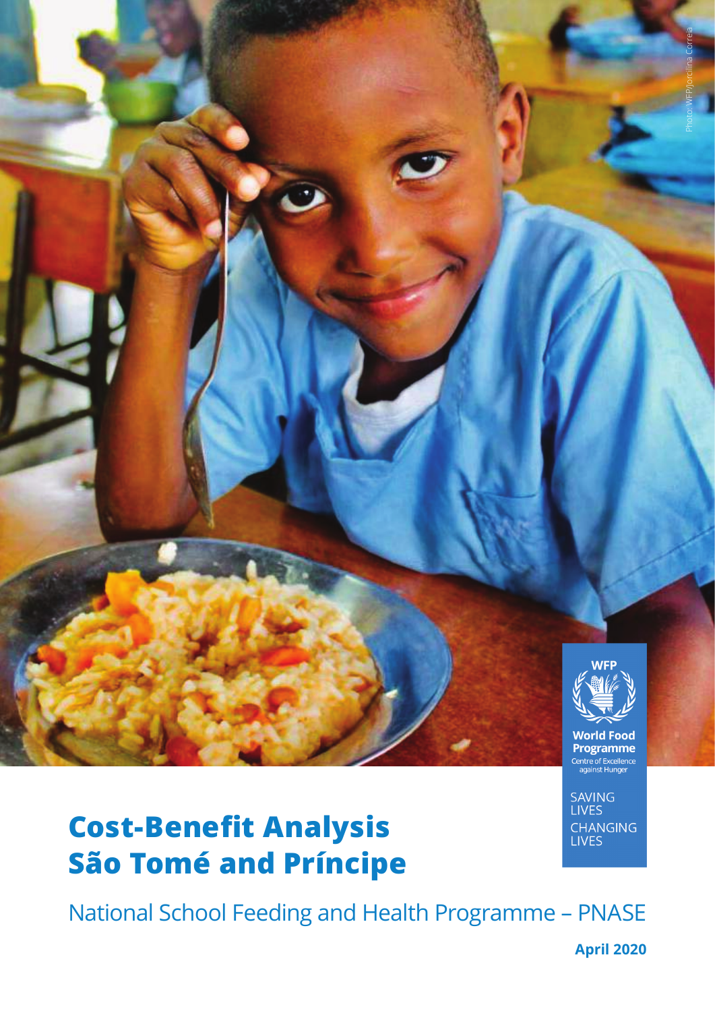

# **Cost-Benefit Analysis São Tomé and Príncipe**

SAVING<br>LIVES **CHANGING LIVES** 

National School Feeding and Health Programme – PNASE

**April 2020**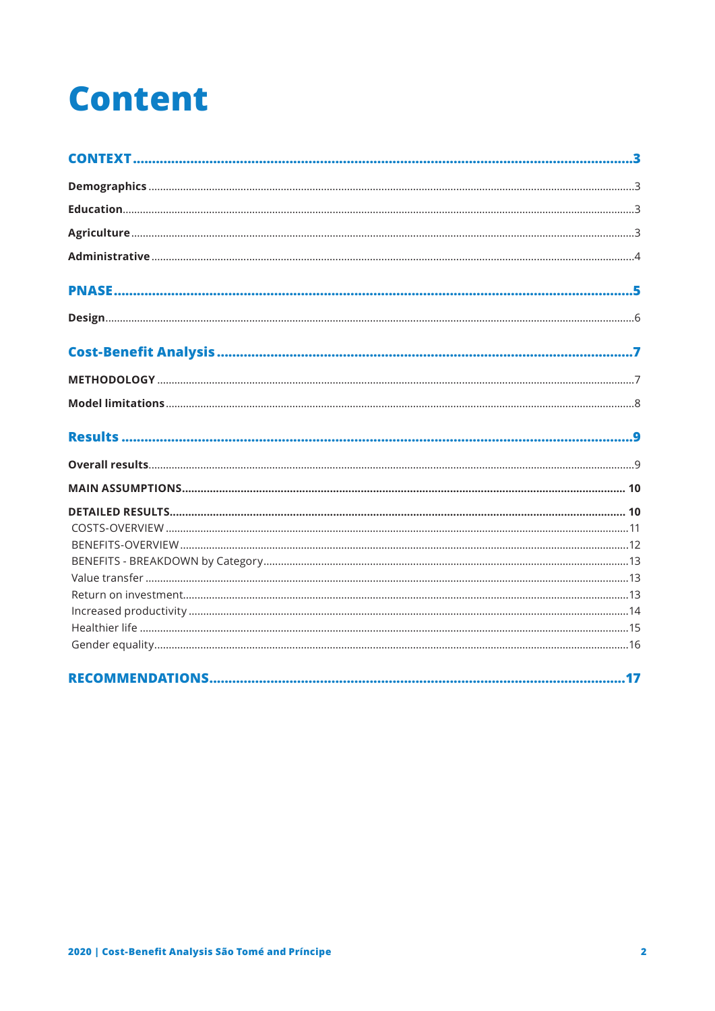# **Content**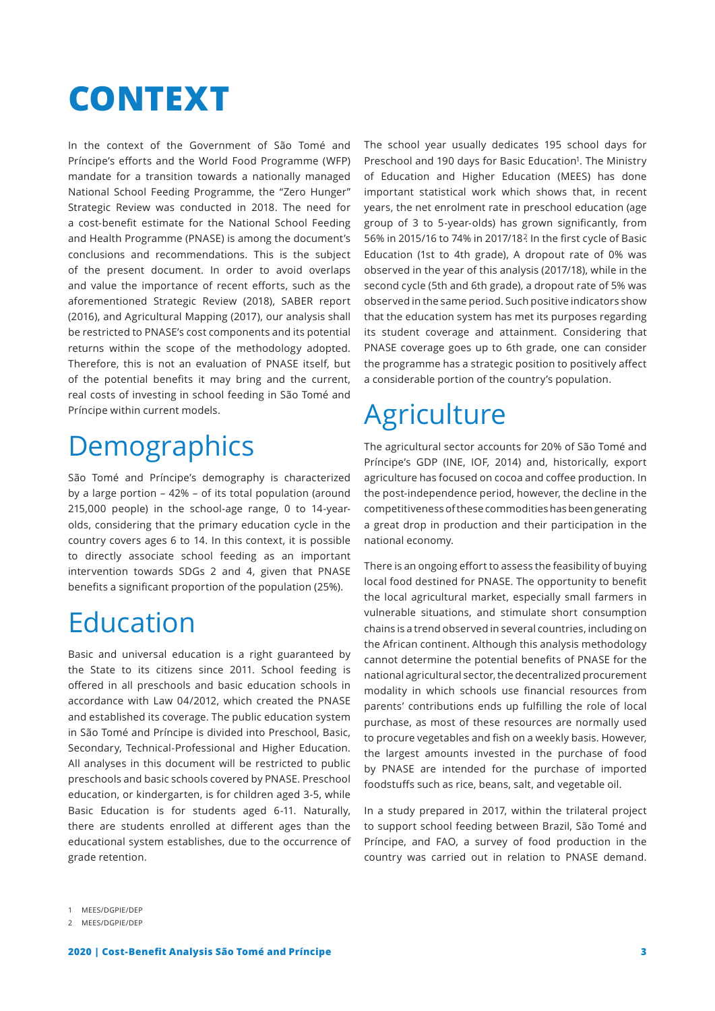

In the context of the Government of São Tomé and Príncipe's efforts and the World Food Programme (WFP) mandate for a transition towards a nationally managed National School Feeding Programme, the "Zero Hunger" Strategic Review was conducted in 2018. The need for a cost-benefit estimate for the National School Feeding and Health Programme (PNASE) is among the document's conclusions and recommendations. This is the subject of the present document. In order to avoid overlaps and value the importance of recent efforts, such as the aforementioned Strategic Review (2018), SABER report (2016), and Agricultural Mapping (2017), our analysis shall be restricted to PNASE's cost components and its potential returns within the scope of the methodology adopted. Therefore, this is not an evaluation of PNASE itself, but of the potential benefits it may bring and the current, real costs of investing in school feeding in São Tomé and Príncipe within current models.

## **Demographics**

São Tomé and Príncipe's demography is characterized by a large portion – 42% – of its total population (around 215,000 people) in the school-age range, 0 to 14-yearolds, considering that the primary education cycle in the country covers ages 6 to 14. In this context, it is possible to directly associate school feeding as an important intervention towards SDGs 2 and 4, given that PNASE benefits a significant proportion of the population (25%).

## Education

Basic and universal education is a right guaranteed by the State to its citizens since 2011. School feeding is offered in all preschools and basic education schools in accordance with Law 04/2012, which created the PNASE and established its coverage. The public education system in São Tomé and Príncipe is divided into Preschool, Basic, Secondary, Technical-Professional and Higher Education. All analyses in this document will be restricted to public preschools and basic schools covered by PNASE. Preschool education, or kindergarten, is for children aged 3-5, while Basic Education is for students aged 6-11. Naturally, there are students enrolled at different ages than the educational system establishes, due to the occurrence of grade retention.

The school year usually dedicates 195 school days for Preschool and 190 days for Basic Education<sup>1</sup>. The Ministry of Education and Higher Education (MEES) has done important statistical work which shows that, in recent years, the net enrolment rate in preschool education (age group of 3 to 5-year-olds) has grown significantly, from 56% in 2015/16 to 74% in 2017/18? In the first cycle of Basic Education (1st to 4th grade), A dropout rate of 0% was observed in the year of this analysis (2017/18), while in the second cycle (5th and 6th grade), a dropout rate of 5% was observed in the same period. Such positive indicators show that the education system has met its purposes regarding its student coverage and attainment. Considering that PNASE coverage goes up to 6th grade, one can consider the programme has a strategic position to positively affect a considerable portion of the country's population.

## **Agriculture**

The agricultural sector accounts for 20% of São Tomé and Príncipe's GDP (INE, IOF, 2014) and, historically, export agriculture has focused on cocoa and coffee production. In the post-independence period, however, the decline in the competitiveness of these commodities has been generating a great drop in production and their participation in the national economy.

There is an ongoing effort to assess the feasibility of buying local food destined for PNASE. The opportunity to benefit the local agricultural market, especially small farmers in vulnerable situations, and stimulate short consumption chains is a trend observed in several countries, including on the African continent. Although this analysis methodology cannot determine the potential benefits of PNASE for the national agricultural sector, the decentralized procurement modality in which schools use financial resources from parents' contributions ends up fulfilling the role of local purchase, as most of these resources are normally used to procure vegetables and fish on a weekly basis. However, the largest amounts invested in the purchase of food by PNASE are intended for the purchase of imported foodstuffs such as rice, beans, salt, and vegetable oil.

In a study prepared in 2017, within the trilateral project to support school feeding between Brazil, São Tomé and Príncipe, and FAO, a survey of food production in the country was carried out in relation to PNASE demand.

<sup>1</sup> MEES/DGPIE/DEP

MEES/DGPIE/DEP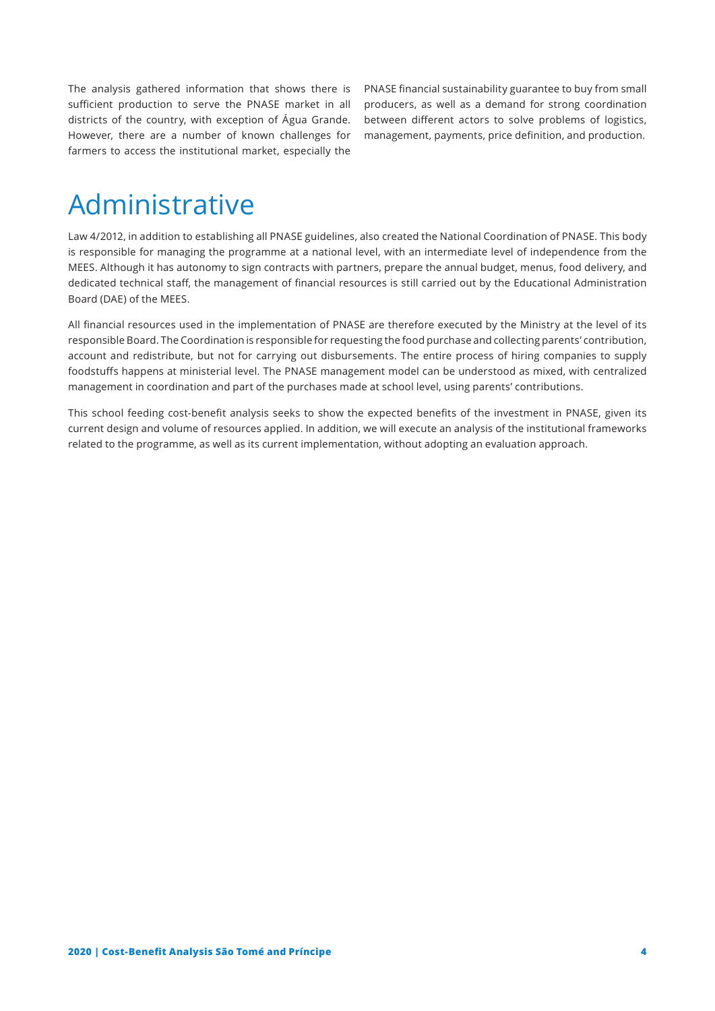The analysis gathered information that shows there is sufficient production to serve the PNASE market in all districts of the country, with exception of Água Grande. However, there are a number of known challenges for farmers to access the institutional market, especially the

PNASE financial sustainability guarantee to buy from small producers, as well as a demand for strong coordination between different actors to solve problems of logistics, management, payments, price definition, and production.

## Administrative

Law 4/2012, in addition to establishing all PNASE guidelines, also created the National Coordination of PNASE. This body is responsible for managing the programme at a national level, with an intermediate level of independence from the MEES. Although it has autonomy to sign contracts with partners, prepare the annual budget, menus, food delivery, and dedicated technical staff, the management of financial resources is still carried out by the Educational Administration Board (DAE) of the MEES.

All financial resources used in the implementation of PNASE are therefore executed by the Ministry at the level of its responsible Board. The Coordination is responsible for requesting the food purchase and collecting parents' contribution, account and redistribute, but not for carrying out disbursements. The entire process of hiring companies to supply foodstuffs happens at ministerial level. The PNASE management model can be understood as mixed, with centralized management in coordination and part of the purchases made at school level, using parents' contributions.

This school feeding cost-benefit analysis seeks to show the expected benefits of the investment in PNASE, given its current design and volume of resources applied. In addition, we will execute an analysis of the institutional frameworks related to the programme, as well as its current implementation, without adopting an evaluation approach.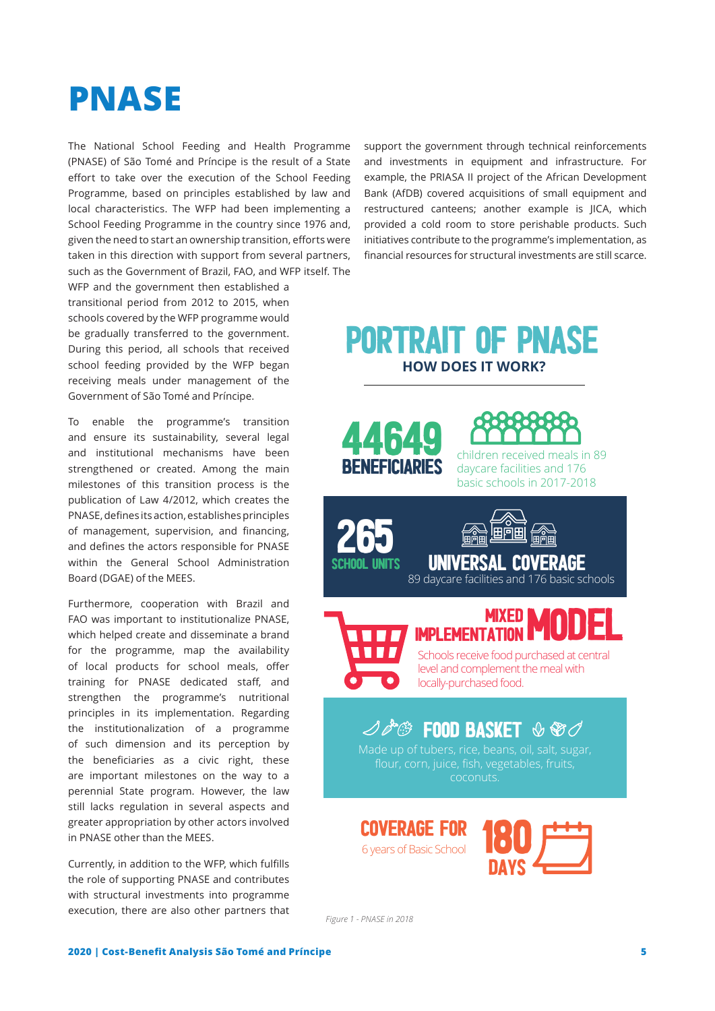# **PNASE**

The National School Feeding and Health Programme (PNASE) of São Tomé and Príncipe is the result of a State effort to take over the execution of the School Feeding Programme, based on principles established by law and local characteristics. The WFP had been implementing a School Feeding Programme in the country since 1976 and, given the need to start an ownership transition, efforts were taken in this direction with support from several partners, such as the Government of Brazil, FAO, and WFP itself. The

WFP and the government then established a transitional period from 2012 to 2015, when schools covered by the WFP programme would be gradually transferred to the government. During this period, all schools that received school feeding provided by the WFP began receiving meals under management of the Government of São Tomé and Príncipe.

To enable the programme's transition and ensure its sustainability, several legal and institutional mechanisms have been strengthened or created. Among the main milestones of this transition process is the publication of Law 4/2012, which creates the PNASE, defines its action, establishes principles of management, supervision, and financing, and defines the actors responsible for PNASE within the General School Administration Board (DGAE) of the MEES.

Furthermore, cooperation with Brazil and FAO was important to institutionalize PNASE, which helped create and disseminate a brand for the programme, map the availability of local products for school meals, offer training for PNASE dedicated staff, and strengthen the programme's nutritional principles in its implementation. Regarding the institutionalization of a programme of such dimension and its perception by the beneficiaries as a civic right, these are important milestones on the way to a perennial State program. However, the law still lacks regulation in several aspects and greater appropriation by other actors involved in PNASE other than the MEES.

Currently, in addition to the WFP, which fulfills the role of supporting PNASE and contributes with structural investments into programme execution, there are also other partners that

support the government through technical reinforcements and investments in equipment and infrastructure. For example, the PRIASA II project of the African Development Bank (AfDB) covered acquisitions of small equipment and restructured canteens; another example is JICA, which provided a cold room to store perishable products. Such initiatives contribute to the programme's implementation, as financial resources for structural investments are still scarce.

## PORTRAIT OF PNASE **HOW DOES IT WORK?**





children received meals in 89 daycare facilities and 176 basic schools in 2017-2018





## UNIVERSAL COVERAGE

89 daycare facilities and 176 basic schools

**THEFT** 

MODEL Schools receive food purchased at central MIXED **MPLEMENTATION** 

level and complement the meal with locally-purchased food.

### $\mathscr{A}$ & FOOD BASKET  $\mathscr{A} \otimes \mathscr{A}$

Made up of tubers, rice, beans, oil, salt, sugar, flour, corn, juice, fish, vegetables, fruits, coconuts.

6 years of Basic School **COVERAGE FOR** 



*Figure 1 - PNASE in 2018*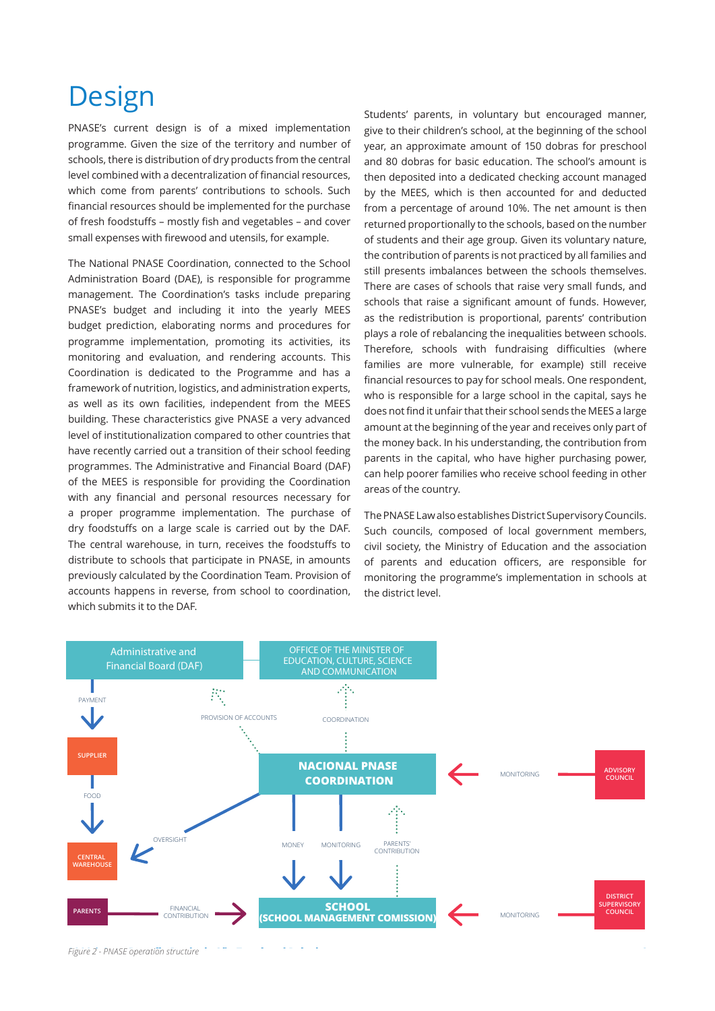## **Design**

PNASE's current design is of a mixed implementation programme. Given the size of the territory and number of schools, there is distribution of dry products from the central level combined with a decentralization of financial resources, which come from parents' contributions to schools. Such financial resources should be implemented for the purchase of fresh foodstuffs – mostly fish and vegetables – and cover small expenses with firewood and utensils, for example.

The National PNASE Coordination, connected to the School Administration Board (DAE), is responsible for programme management. The Coordination's tasks include preparing PNASE's budget and including it into the yearly MEES budget prediction, elaborating norms and procedures for programme implementation, promoting its activities, its monitoring and evaluation, and rendering accounts. This Coordination is dedicated to the Programme and has a framework of nutrition, logistics, and administration experts, as well as its own facilities, independent from the MEES building. These characteristics give PNASE a very advanced level of institutionalization compared to other countries that have recently carried out a transition of their school feeding programmes. The Administrative and Financial Board (DAF) of the MEES is responsible for providing the Coordination with any financial and personal resources necessary for a proper programme implementation. The purchase of dry foodstuffs on a large scale is carried out by the DAF. The central warehouse, in turn, receives the foodstuffs to distribute to schools that participate in PNASE, in amounts previously calculated by the Coordination Team. Provision of accounts happens in reverse, from school to coordination, which submits it to the DAF.

Students' parents, in voluntary but encouraged manner, give to their children's school, at the beginning of the school year, an approximate amount of 150 dobras for preschool and 80 dobras for basic education. The school's amount is then deposited into a dedicated checking account managed by the MEES, which is then accounted for and deducted from a percentage of around 10%. The net amount is then returned proportionally to the schools, based on the number of students and their age group. Given its voluntary nature, the contribution of parents is not practiced by all families and still presents imbalances between the schools themselves. There are cases of schools that raise very small funds, and schools that raise a significant amount of funds. However, as the redistribution is proportional, parents' contribution plays a role of rebalancing the inequalities between schools. Therefore, schools with fundraising difficulties (where families are more vulnerable, for example) still receive financial resources to pay for school meals. One respondent, who is responsible for a large school in the capital, says he does not find it unfair that their school sends the MEES a large amount at the beginning of the year and receives only part of the money back. In his understanding, the contribution from parents in the capital, who have higher purchasing power, can help poorer families who receive school feeding in other areas of the country.

The PNASE Law also establishes District Supervisory Councils. Such councils, composed of local government members, civil society, the Ministry of Education and the association of parents and education officers, are responsible for monitoring the programme's implementation in schools at the district level.



**2020 | Cost-Benefit Analysis São Tomé and Príncipe 6** *Figure 2 - PNASE operation structure*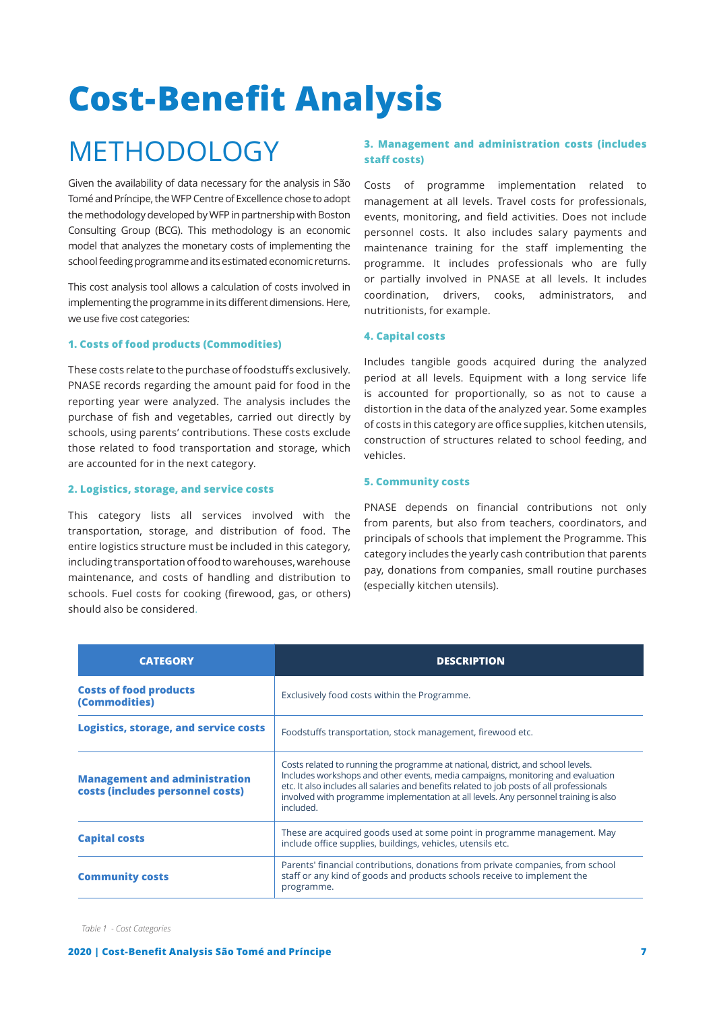# **Cost-Benefit Analysis**

## METHODOLOGY

Given the availability of data necessary for the analysis in São Tomé and Príncipe, the WFP Centre of Excellence chose to adopt the methodology developed by WFP in partnership with Boston Consulting Group (BCG). This methodology is an economic model that analyzes the monetary costs of implementing the school feeding programme and its estimated economic returns.

This cost analysis tool allows a calculation of costs involved in implementing the programme in its different dimensions. Here, we use five cost categories:

#### **1. Costs of food products (Commodities)**

These costs relate to the purchase of foodstuffs exclusively. PNASE records regarding the amount paid for food in the reporting year were analyzed. The analysis includes the purchase of fish and vegetables, carried out directly by schools, using parents' contributions. These costs exclude those related to food transportation and storage, which are accounted for in the next category.

#### **2. Logistics, storage, and service costs**

This category lists all services involved with the transportation, storage, and distribution of food. The entire logistics structure must be included in this category, including transportation of food to warehouses, warehouse maintenance, and costs of handling and distribution to schools. Fuel costs for cooking (firewood, gas, or others) should also be considered.

#### **3. Management and administration costs (includes staff costs)**

Costs of programme implementation related to management at all levels. Travel costs for professionals, events, monitoring, and field activities. Does not include personnel costs. It also includes salary payments and maintenance training for the staff implementing the programme. It includes professionals who are fully or partially involved in PNASE at all levels. It includes coordination, drivers, cooks, administrators, and nutritionists, for example.

#### **4. Capital costs**

Includes tangible goods acquired during the analyzed period at all levels. Equipment with a long service life is accounted for proportionally, so as not to cause a distortion in the data of the analyzed year. Some examples of costs in this category are office supplies, kitchen utensils, construction of structures related to school feeding, and vehicles.

#### **5. Community costs**

PNASE depends on financial contributions not only from parents, but also from teachers, coordinators, and principals of schools that implement the Programme. This category includes the yearly cash contribution that parents pay, donations from companies, small routine purchases (especially kitchen utensils).

| <b>CATEGORY</b>                                                          | <b>DESCRIPTION</b>                                                                                                                                                                                                                                                                                                                                                    |
|--------------------------------------------------------------------------|-----------------------------------------------------------------------------------------------------------------------------------------------------------------------------------------------------------------------------------------------------------------------------------------------------------------------------------------------------------------------|
| <b>Costs of food products</b><br>(Commodities)                           | Exclusively food costs within the Programme.                                                                                                                                                                                                                                                                                                                          |
| <b>Logistics, storage, and service costs</b>                             | Foodstuffs transportation, stock management, firewood etc.                                                                                                                                                                                                                                                                                                            |
| <b>Management and administration</b><br>costs (includes personnel costs) | Costs related to running the programme at national, district, and school levels.<br>Includes workshops and other events, media campaigns, monitoring and evaluation<br>etc. It also includes all salaries and benefits related to job posts of all professionals<br>involved with programme implementation at all levels. Any personnel training is also<br>included. |
| <b>Capital costs</b>                                                     | These are acquired goods used at some point in programme management. May<br>include office supplies, buildings, vehicles, utensils etc.                                                                                                                                                                                                                               |
| <b>Community costs</b>                                                   | Parents' financial contributions, donations from private companies, from school<br>staff or any kind of goods and products schools receive to implement the<br>programme.                                                                                                                                                                                             |

*Table 1 - Cost Categories*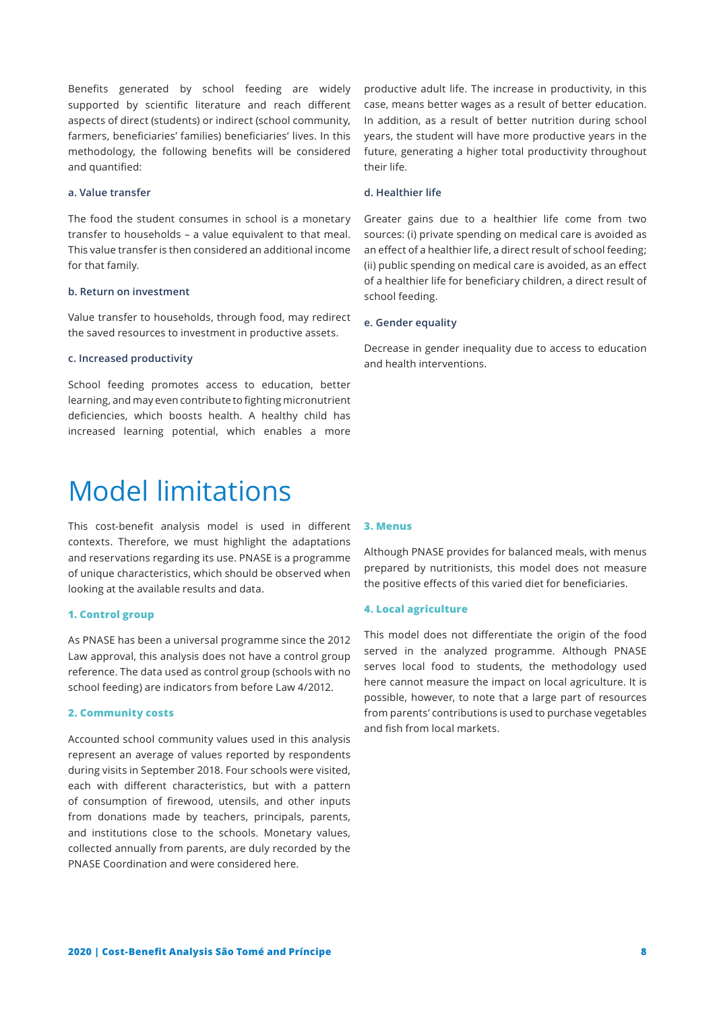Benefits generated by school feeding are widely supported by scientific literature and reach different aspects of direct (students) or indirect (school community, farmers, beneficiaries' families) beneficiaries' lives. In this methodology, the following benefits will be considered and quantified:

#### **a. Value transfer**

The food the student consumes in school is a monetary transfer to households – a value equivalent to that meal. This value transfer is then considered an additional income for that family.

#### **b. Return on investment**

Value transfer to households, through food, may redirect the saved resources to investment in productive assets.

#### **c. Increased productivity**

School feeding promotes access to education, better learning, and may even contribute to fighting micronutrient deficiencies, which boosts health. A healthy child has increased learning potential, which enables a more

## Model limitations

This cost-benefit analysis model is used in different contexts. Therefore, we must highlight the adaptations and reservations regarding its use. PNASE is a programme of unique characteristics, which should be observed when looking at the available results and data.

#### **1. Control group**

As PNASE has been a universal programme since the 2012 Law approval, this analysis does not have a control group reference. The data used as control group (schools with no school feeding) are indicators from before Law 4/2012.

#### **2. Community costs**

Accounted school community values used in this analysis represent an average of values reported by respondents during visits in September 2018. Four schools were visited, each with different characteristics, but with a pattern of consumption of firewood, utensils, and other inputs from donations made by teachers, principals, parents, and institutions close to the schools. Monetary values, collected annually from parents, are duly recorded by the PNASE Coordination and were considered here.

productive adult life. The increase in productivity, in this case, means better wages as a result of better education. In addition, as a result of better nutrition during school years, the student will have more productive years in the future, generating a higher total productivity throughout their life.

#### **d. Healthier life**

Greater gains due to a healthier life come from two sources: (i) private spending on medical care is avoided as an effect of a healthier life, a direct result of school feeding; (ii) public spending on medical care is avoided, as an effect of a healthier life for beneficiary children, a direct result of school feeding.

#### **e. Gender equality**

Decrease in gender inequality due to access to education and health interventions.

#### **3. Menus**

Although PNASE provides for balanced meals, with menus prepared by nutritionists, this model does not measure the positive effects of this varied diet for beneficiaries.

#### **4. Local agriculture**

This model does not differentiate the origin of the food served in the analyzed programme. Although PNASE serves local food to students, the methodology used here cannot measure the impact on local agriculture. It is possible, however, to note that a large part of resources from parents' contributions is used to purchase vegetables and fish from local markets.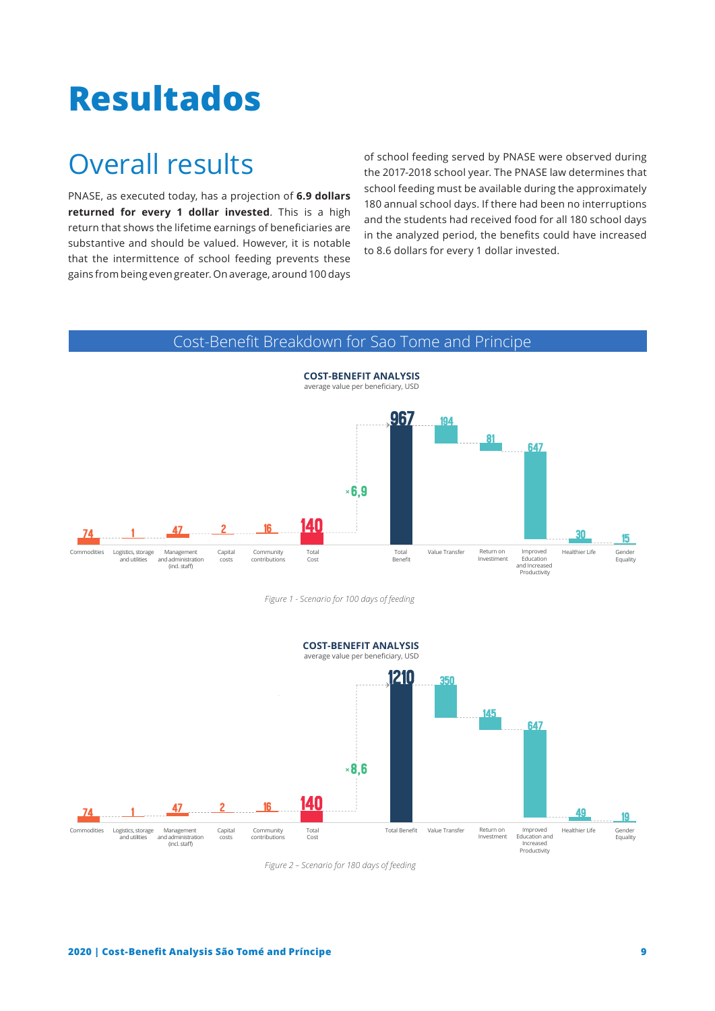# **Resultados**

## Overall results

PNASE, as executed today, has a projection of **6.9 dollars returned for every 1 dollar invested**. This is a high return that shows the lifetime earnings of beneficiaries are substantive and should be valued. However, it is notable that the intermittence of school feeding prevents these gains from being even greater. On average, around 100 days

of school feeding served by PNASE were observed during the 2017-2018 school year. The PNASE law determines that school feeding must be available during the approximately 180 annual school days. If there had been no interruptions and the students had received food for all 180 school days in the analyzed period, the benefits could have increased to 8.6 dollars for every 1 dollar invested.

### Cost-Benefit Breakdown for Sao Tome and Principe



*Figure 1 - Scenario for 100 days of feeding*



*Figure 2 – Scenario for 180 days of feeding*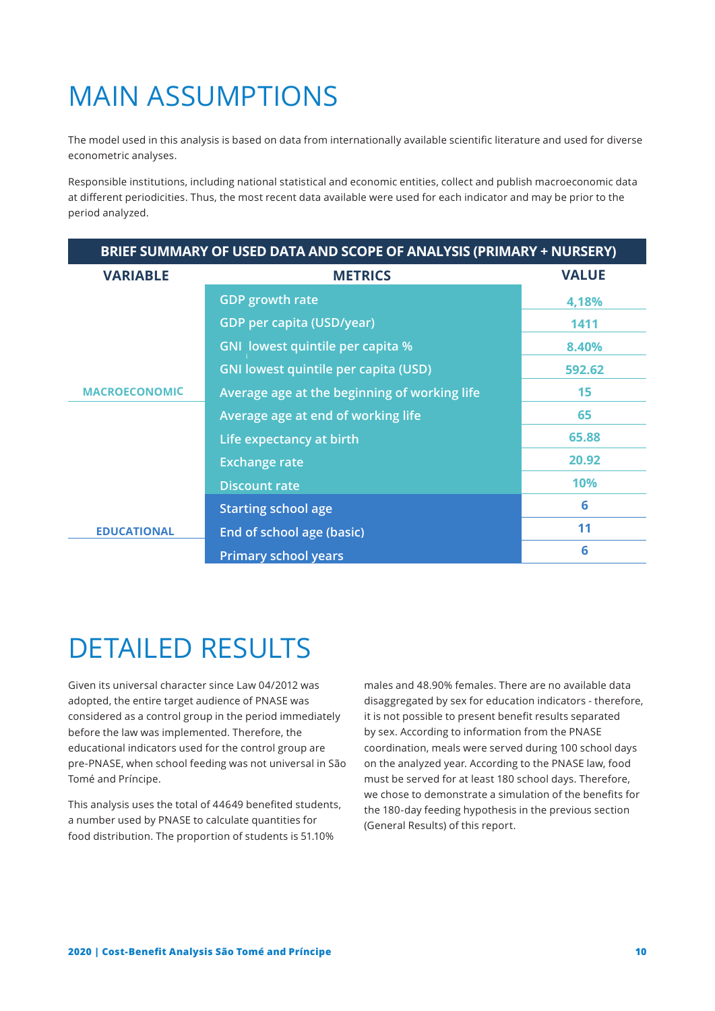## MAIN ASSUMPTIONS

The model used in this analysis is based on data from internationally available scientific literature and used for diverse econometric analyses.

Responsible institutions, including national statistical and economic entities, collect and publish macroeconomic data at different periodicities. Thus, the most recent data available were used for each indicator and may be prior to the period analyzed.

| BRIEF SUMMARY OF USED DATA AND SCOPE OF ANALYSIS (PRIMARY + NURSERY) |                                              |              |  |
|----------------------------------------------------------------------|----------------------------------------------|--------------|--|
| <b>VARIABLE</b>                                                      | <b>METRICS</b>                               | <b>VALUE</b> |  |
|                                                                      | <b>GDP</b> growth rate                       | 4,18%        |  |
|                                                                      | <b>GDP per capita (USD/year)</b>             | 1411         |  |
|                                                                      | GNI lowest quintile per capita %             | 8.40%        |  |
|                                                                      | <b>GNI lowest quintile per capita (USD)</b>  | 592.62       |  |
| <b>MACROECONOMIC</b>                                                 | Average age at the beginning of working life | 15           |  |
|                                                                      | Average age at end of working life           | 65           |  |
|                                                                      | Life expectancy at birth                     | 65.88        |  |
|                                                                      | <b>Exchange rate</b>                         | 20.92        |  |
|                                                                      | <b>Discount rate</b>                         | 10%          |  |
|                                                                      | <b>Starting school age</b>                   | 6            |  |
| <b>EDUCATIONAL</b>                                                   | End of school age (basic)                    | 11           |  |
|                                                                      | <b>Primary school years</b>                  | 6            |  |

## DETAILED RESULTS

Given its universal character since Law 04/2012 was adopted, the entire target audience of PNASE was considered as a control group in the period immediately before the law was implemented. Therefore, the educational indicators used for the control group are pre-PNASE, when school feeding was not universal in São Tomé and Príncipe.

This analysis uses the total of 44649 benefited students, a number used by PNASE to calculate quantities for food distribution. The proportion of students is 51.10%

males and 48.90% females. There are no available data disaggregated by sex for education indicators - therefore, it is not possible to present benefit results separated by sex. According to information from the PNASE coordination, meals were served during 100 school days on the analyzed year. According to the PNASE law, food must be served for at least 180 school days. Therefore, we chose to demonstrate a simulation of the benefits for the 180-day feeding hypothesis in the previous section (General Results) of this report.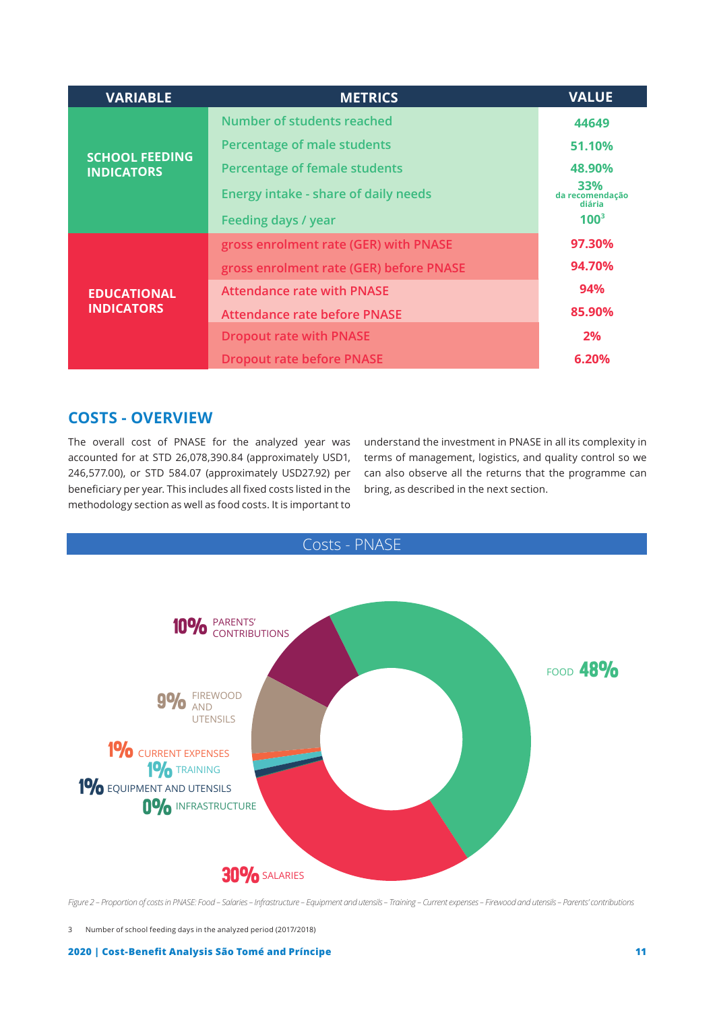| <b>VARIABLE</b>                            | <b>METRICS</b>                          | <b>VALUE</b>                     |
|--------------------------------------------|-----------------------------------------|----------------------------------|
| <b>SCHOOL FEEDING</b><br><b>INDICATORS</b> | Number of students reached              | 44649                            |
|                                            | Percentage of male students             | 51.10%                           |
|                                            | <b>Percentage of female students</b>    | 48.90%                           |
|                                            | Energy intake - share of daily needs    | 33%<br>da recomendação<br>diária |
|                                            | Feeding days / year                     | 100 <sup>3</sup>                 |
| <b>EDUCATIONAL</b><br><b>INDICATORS</b>    | gross enrolment rate (GER) with PNASE   | 97.30%                           |
|                                            | gross enrolment rate (GER) before PNASE | 94.70%                           |
|                                            | <b>Attendance rate with PNASE</b>       | 94%                              |
|                                            | <b>Attendance rate before PNASE</b>     | 85.90%                           |
|                                            | <b>Dropout rate with PNASE</b>          | 2%                               |
|                                            | <b>Dropout rate before PNASE</b>        | 6.20%                            |

### **COSTS - OVERVIEW**

The overall cost of PNASE for the analyzed year was accounted for at STD 26,078,390.84 (approximately USD1, 246,577.00), or STD 584.07 (approximately USD27.92) per beneficiary per year. This includes all fixed costs listed in the methodology section as well as food costs. It is important to

understand the investment in PNASE in all its complexity in terms of management, logistics, and quality control so we can also observe all the returns that the programme can bring, as described in the next section.



*Figure 2 – Proportion of costs in PNASE: Food – Salaries – Infrastructure – Equipment and utensils – Training – Current expenses – Firewood and utensils – Parents' contributions*

3 Number of school feeding days in the analyzed period (2017/2018)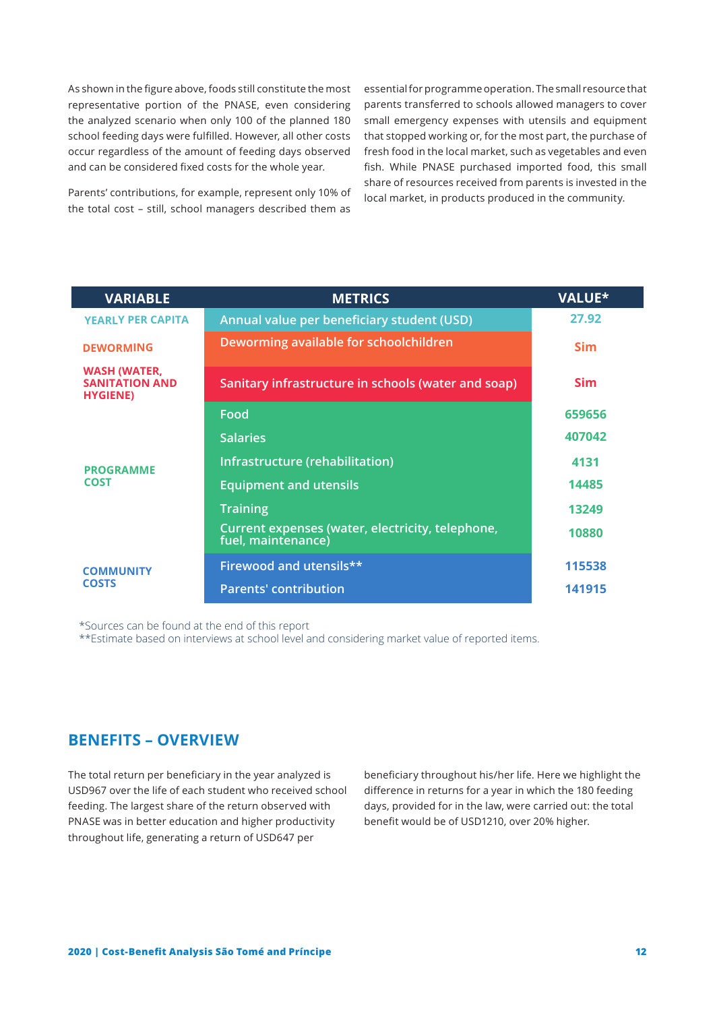As shown in the figure above, foods still constitute the most representative portion of the PNASE, even considering the analyzed scenario when only 100 of the planned 180 school feeding days were fulfilled. However, all other costs occur regardless of the amount of feeding days observed and can be considered fixed costs for the whole year.

Parents' contributions, for example, represent only 10% of the total cost – still, school managers described them as

essential for programme operation. The small resource that parents transferred to schools allowed managers to cover small emergency expenses with utensils and equipment that stopped working or, for the most part, the purchase of fresh food in the local market, such as vegetables and even fish. While PNASE purchased imported food, this small share of resources received from parents is invested in the local market, in products produced in the community.

| <b>VARIABLE</b>                                                  | <b>METRICS</b>                                                         | <b>VALUE*</b> |
|------------------------------------------------------------------|------------------------------------------------------------------------|---------------|
| <b>YEARLY PER CAPITA</b>                                         | Annual value per beneficiary student (USD)                             | 27.92         |
| <b>DEWORMING</b>                                                 | Deworming available for schoolchildren                                 | <b>Sim</b>    |
| <b>WASH (WATER,</b><br><b>SANITATION AND</b><br><b>HYGIENE</b> ) | Sanitary infrastructure in schools (water and soap)                    | <b>Sim</b>    |
| <b>PROGRAMME</b><br><b>COST</b>                                  | Food                                                                   | 659656        |
|                                                                  | <b>Salaries</b>                                                        | 407042        |
|                                                                  | Infrastructure (rehabilitation)                                        | 4131          |
|                                                                  | <b>Equipment and utensils</b>                                          | 14485         |
|                                                                  | <b>Training</b>                                                        | 13249         |
|                                                                  | Current expenses (water, electricity, telephone,<br>fuel, maintenance) | 10880         |
| <b>COMMUNITY</b><br><b>COSTS</b>                                 | Firewood and utensils**                                                | 115538        |
|                                                                  | <b>Parents' contribution</b>                                           | 141915        |

\*Sources can be found at the end of this report

\*\*Estimate based on interviews at school level and considering market value of reported items.

### **BENEFITS – OVERVIEW**

The total return per beneficiary in the year analyzed is USD967 over the life of each student who received school feeding. The largest share of the return observed with PNASE was in better education and higher productivity throughout life, generating a return of USD647 per

beneficiary throughout his/her life. Here we highlight the difference in returns for a year in which the 180 feeding days, provided for in the law, were carried out: the total benefit would be of USD1210, over 20% higher.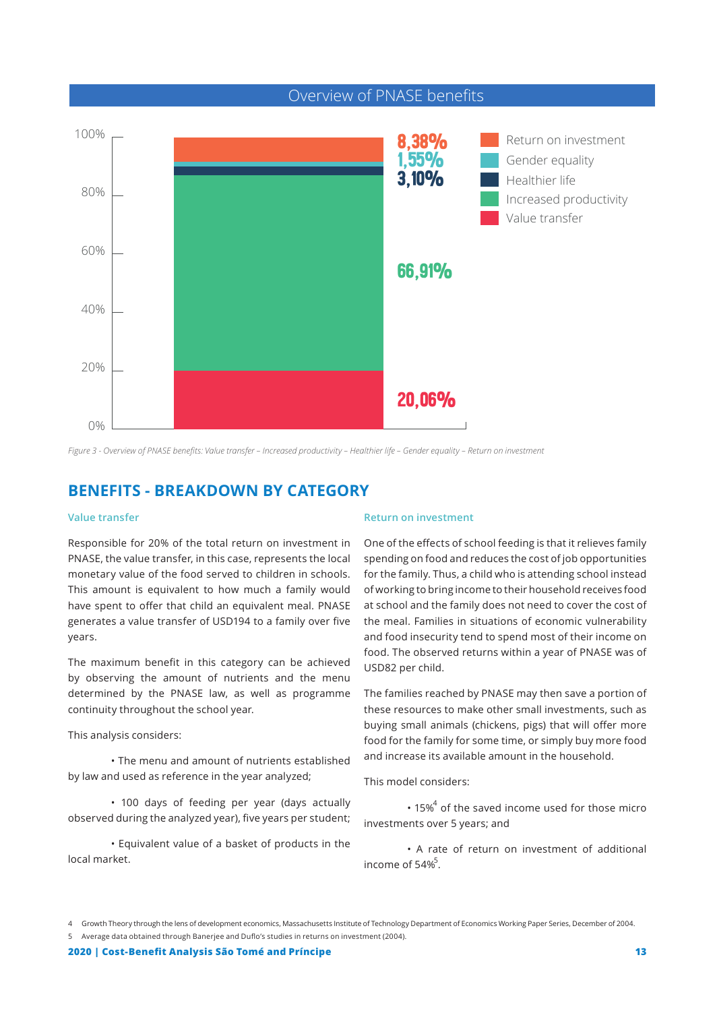

*Figure 3 - Overview of PNASE benefits: Value transfer – Increased productivity – Healthier life – Gender equality – Return on investment*

### **BENEFITS - BREAKDOWN BY CATEGORY**

#### **Value transfer**

Responsible for 20% of the total return on investment in PNASE, the value transfer, in this case, represents the local monetary value of the food served to children in schools. This amount is equivalent to how much a family would have spent to offer that child an equivalent meal. PNASE generates a value transfer of USD194 to a family over five years.

The maximum benefit in this category can be achieved by observing the amount of nutrients and the menu determined by the PNASE law, as well as programme continuity throughout the school year.

This analysis considers:

• The menu and amount of nutrients established by law and used as reference in the year analyzed;

• 100 days of feeding per year (days actually observed during the analyzed year), five years per student;

• Equivalent value of a basket of products in the local market.

#### **Return on investment**

One of the effects of school feeding is that it relieves family spending on food and reduces the cost of job opportunities for the family. Thus, a child who is attending school instead of working to bring income to their household receives food at school and the family does not need to cover the cost of the meal. Families in situations of economic vulnerability and food insecurity tend to spend most of their income on food. The observed returns within a year of PNASE was of USD82 per child.

The families reached by PNASE may then save a portion of these resources to make other small investments, such as buying small animals (chickens, pigs) that will offer more food for the family for some time, or simply buy more food and increase its available amount in the household.

This model considers:

 $\cdot$  15%<sup>4</sup> of the saved income used for those micro investments over 5 years; and

• A rate of return on investment of additional income of 54%<sup>5</sup>.

4 Growth Theory through the lens of development economics, Massachusetts Institute of Technology Department of Economics Working Paper Series, December of 2004.

<sup>5</sup> Average data obtained through Banerjee and Duflo's studies in returns on investment (2004).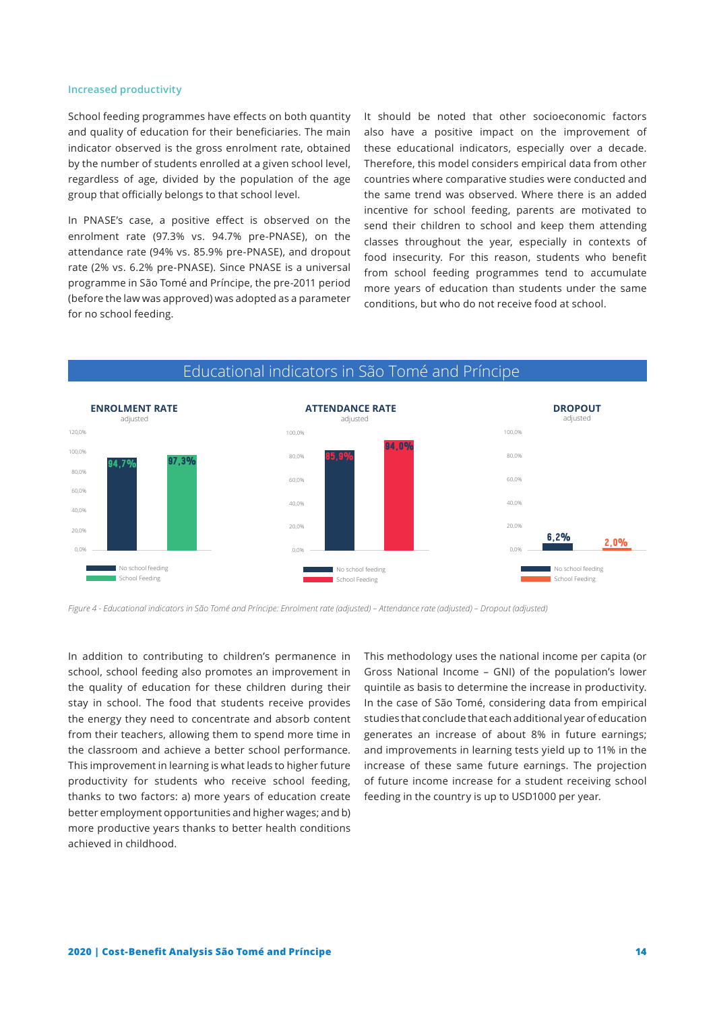#### **Increased productivity**

School feeding programmes have effects on both quantity and quality of education for their beneficiaries. The main indicator observed is the gross enrolment rate, obtained by the number of students enrolled at a given school level, regardless of age, divided by the population of the age group that officially belongs to that school level.

In PNASE's case, a positive effect is observed on the enrolment rate (97.3% vs. 94.7% pre-PNASE), on the attendance rate (94% vs. 85.9% pre-PNASE), and dropout rate (2% vs. 6.2% pre-PNASE). Since PNASE is a universal programme in São Tomé and Príncipe, the pre-2011 period (before the law was approved) was adopted as a parameter for no school feeding.

It should be noted that other socioeconomic factors also have a positive impact on the improvement of these educational indicators, especially over a decade. Therefore, this model considers empirical data from other countries where comparative studies were conducted and the same trend was observed. Where there is an added incentive for school feeding, parents are motivated to send their children to school and keep them attending classes throughout the year, especially in contexts of food insecurity. For this reason, students who benefit from school feeding programmes tend to accumulate more years of education than students under the same conditions, but who do not receive food at school.



### Educational indicators in São Tomé and Príncipe

*Figure 4 - Educational indicators in São Tomé and Príncipe: Enrolment rate (adjusted) – Attendance rate (adjusted) – Dropout (adjusted)*

In addition to contributing to children's permanence in school, school feeding also promotes an improvement in the quality of education for these children during their stay in school. The food that students receive provides the energy they need to concentrate and absorb content from their teachers, allowing them to spend more time in the classroom and achieve a better school performance. This improvement in learning is what leads to higher future productivity for students who receive school feeding, thanks to two factors: a) more years of education create better employment opportunities and higher wages; and b) more productive years thanks to better health conditions achieved in childhood.

This methodology uses the national income per capita (or Gross National Income – GNI) of the population's lower quintile as basis to determine the increase in productivity. In the case of São Tomé, considering data from empirical studies that conclude that each additional year of education generates an increase of about 8% in future earnings; and improvements in learning tests yield up to 11% in the increase of these same future earnings. The projection of future income increase for a student receiving school feeding in the country is up to USD1000 per year.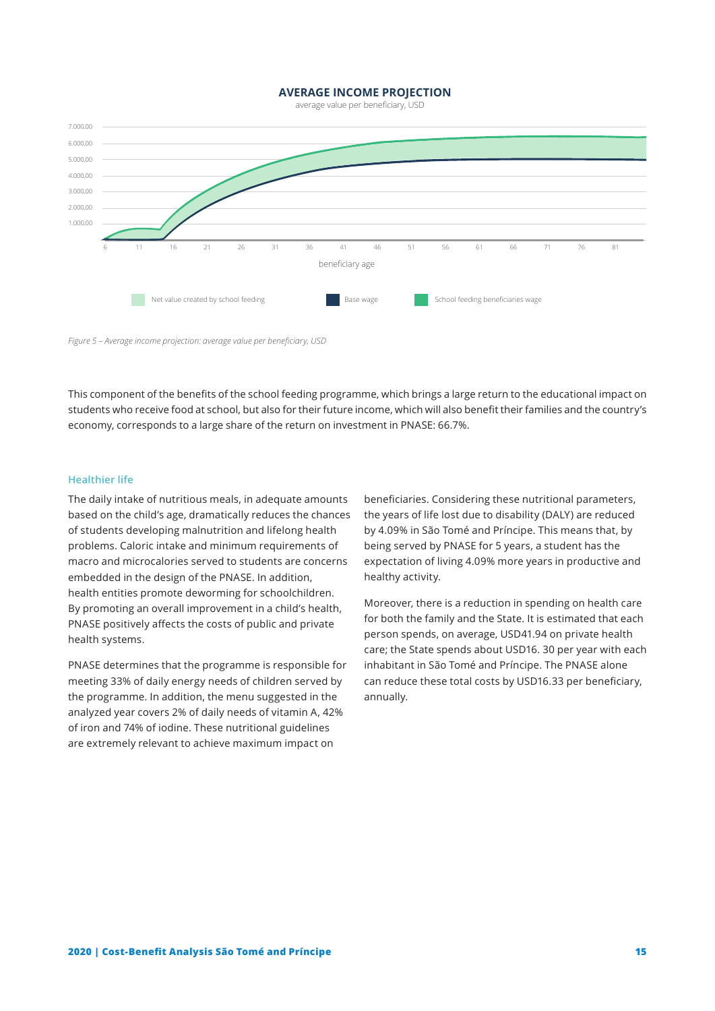#### **AVERAGE INCOME PROJECTION**

average value per beneficiary, USD



*Figure 5 – Average income projection: average value per beneficiary, USD*

This component of the benefits of the school feeding programme, which brings a large return to the educational impact on students who receive food at school, but also for their future income, which will also benefit their families and the country's economy, corresponds to a large share of the return on investment in PNASE: 66.7%.

#### **Healthier life**

The daily intake of nutritious meals, in adequate amounts based on the child's age, dramatically reduces the chances of students developing malnutrition and lifelong health problems. Caloric intake and minimum requirements of macro and microcalories served to students are concerns embedded in the design of the PNASE. In addition, health entities promote deworming for schoolchildren. By promoting an overall improvement in a child's health, PNASE positively affects the costs of public and private health systems.

PNASE determines that the programme is responsible for meeting 33% of daily energy needs of children served by the programme. In addition, the menu suggested in the analyzed year covers 2% of daily needs of vitamin A, 42% of iron and 74% of iodine. These nutritional guidelines are extremely relevant to achieve maximum impact on

beneficiaries. Considering these nutritional parameters, the years of life lost due to disability (DALY) are reduced by 4.09% in São Tomé and Príncipe. This means that, by being served by PNASE for 5 years, a student has the expectation of living 4.09% more years in productive and healthy activity.

Moreover, there is a reduction in spending on health care for both the family and the State. It is estimated that each person spends, on average, USD41.94 on private health care; the State spends about USD16. 30 per year with each inhabitant in São Tomé and Príncipe. The PNASE alone can reduce these total costs by USD16.33 per beneficiary, annually.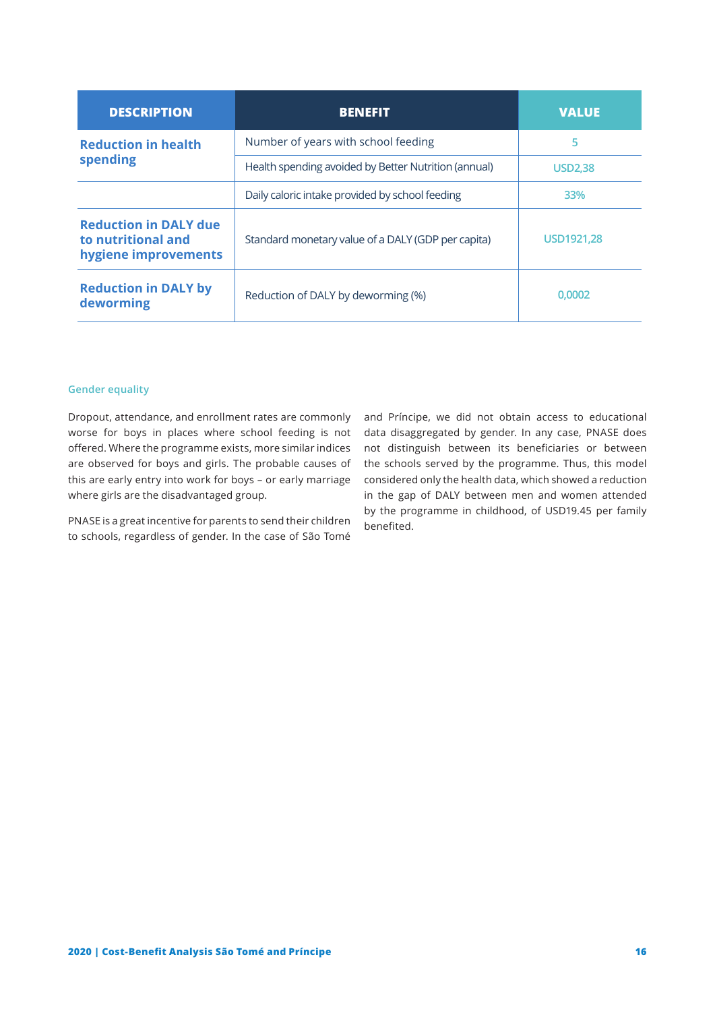| <b>DESCRIPTION</b>                                                         | <b>BENEFIT</b>                                       | <b>VALUE</b>      |
|----------------------------------------------------------------------------|------------------------------------------------------|-------------------|
| <b>Reduction in health</b><br>spending                                     | Number of years with school feeding                  | 5                 |
|                                                                            | Health spending avoided by Better Nutrition (annual) | <b>USD2,38</b>    |
|                                                                            | Daily caloric intake provided by school feeding      | 33%               |
| <b>Reduction in DALY due</b><br>to nutritional and<br>hygiene improvements | Standard monetary value of a DALY (GDP per capita)   | <b>USD1921,28</b> |
| <b>Reduction in DALY by</b><br>deworming                                   | Reduction of DALY by deworming (%)                   | 0.0002            |

#### **Gender equality**

Dropout, attendance, and enrollment rates are commonly worse for boys in places where school feeding is not offered. Where the programme exists, more similar indices are observed for boys and girls. The probable causes of this are early entry into work for boys – or early marriage where girls are the disadvantaged group.

PNASE is a great incentive for parents to send their children to schools, regardless of gender. In the case of São Tomé and Príncipe, we did not obtain access to educational data disaggregated by gender. In any case, PNASE does not distinguish between its beneficiaries or between the schools served by the programme. Thus, this model considered only the health data, which showed a reduction in the gap of DALY between men and women attended by the programme in childhood, of USD19.45 per family benefited.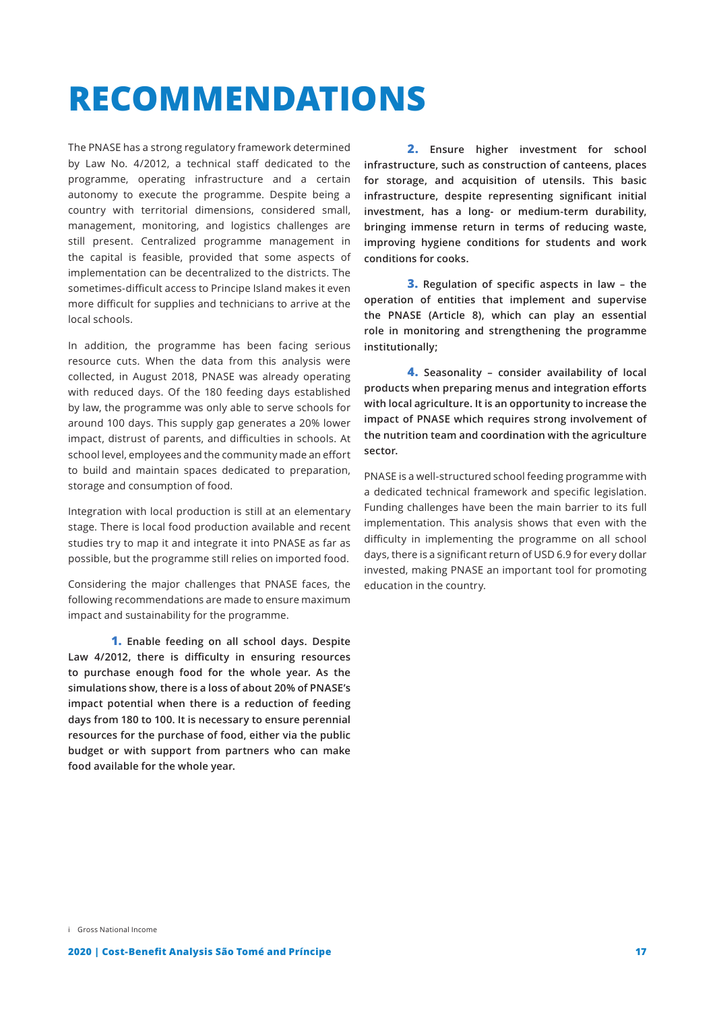# **RECOMMENDATIONS**

The PNASE has a strong regulatory framework determined by Law No. 4/2012, a technical staff dedicated to the programme, operating infrastructure and a certain autonomy to execute the programme. Despite being a country with territorial dimensions, considered small, management, monitoring, and logistics challenges are still present. Centralized programme management in the capital is feasible, provided that some aspects of implementation can be decentralized to the districts. The sometimes-difficult access to Principe Island makes it even more difficult for supplies and technicians to arrive at the local schools.

In addition, the programme has been facing serious resource cuts. When the data from this analysis were collected, in August 2018, PNASE was already operating with reduced days. Of the 180 feeding days established by law, the programme was only able to serve schools for around 100 days. This supply gap generates a 20% lower impact, distrust of parents, and difficulties in schools. At school level, employees and the community made an effort to build and maintain spaces dedicated to preparation, storage and consumption of food.

Integration with local production is still at an elementary stage. There is local food production available and recent studies try to map it and integrate it into PNASE as far as possible, but the programme still relies on imported food.

Considering the major challenges that PNASE faces, the following recommendations are made to ensure maximum impact and sustainability for the programme.

**1. Enable feeding on all school days. Despite Law 4/2012, there is difficulty in ensuring resources to purchase enough food for the whole year. As the simulations show, there is a loss of about 20% of PNASE's impact potential when there is a reduction of feeding days from 180 to 100. It is necessary to ensure perennial resources for the purchase of food, either via the public budget or with support from partners who can make food available for the whole year.**

**2. Ensure higher investment for school infrastructure, such as construction of canteens, places for storage, and acquisition of utensils. This basic infrastructure, despite representing significant initial investment, has a long- or medium-term durability, bringing immense return in terms of reducing waste, improving hygiene conditions for students and work conditions for cooks.**

**3. Regulation of specific aspects in law – the operation of entities that implement and supervise the PNASE (Article 8), which can play an essential role in monitoring and strengthening the programme institutionally;**

**4. Seasonality – consider availability of local products when preparing menus and integration efforts with local agriculture. It is an opportunity to increase the impact of PNASE which requires strong involvement of the nutrition team and coordination with the agriculture sector.**

PNASE is a well-structured school feeding programme with a dedicated technical framework and specific legislation. Funding challenges have been the main barrier to its full implementation. This analysis shows that even with the difficulty in implementing the programme on all school days, there is a significant return of USD 6.9 for every dollar invested, making PNASE an important tool for promoting education in the country.